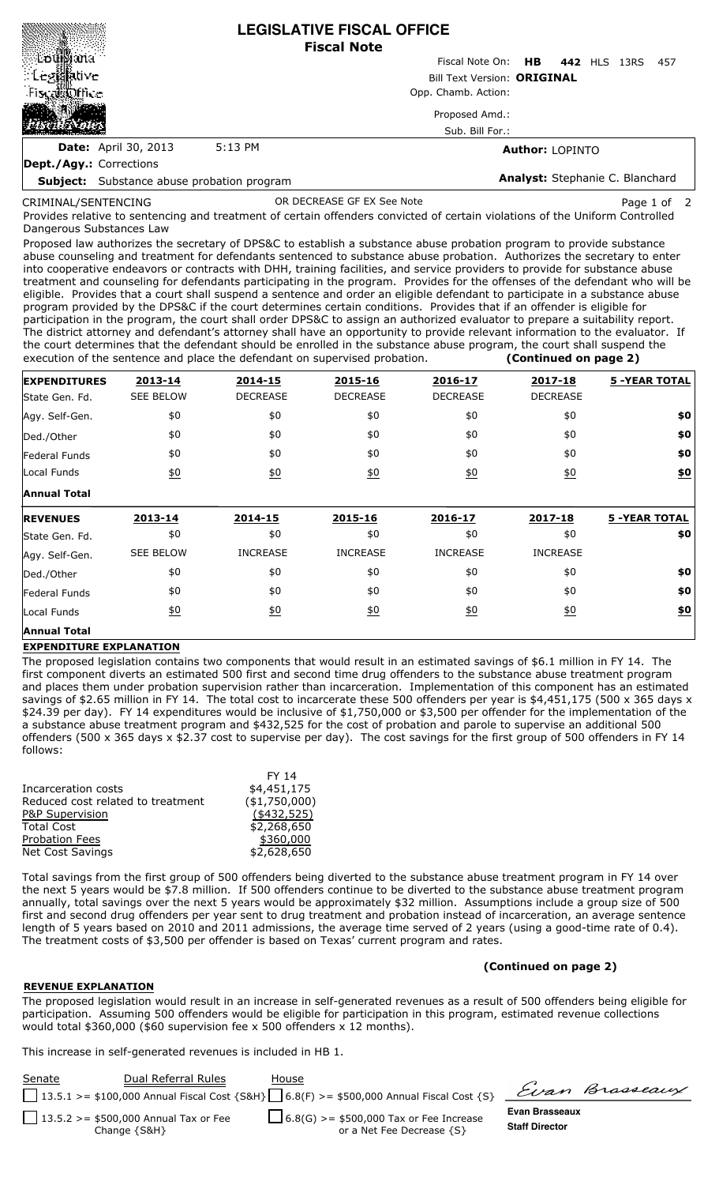|                                                   |         | <b>LEGISLATIVE FISCAL OFFICE</b><br><b>Fiscal Note</b> |                                 |      |      |  |
|---------------------------------------------------|---------|--------------------------------------------------------|---------------------------------|------|------|--|
| 'Entilliana                                       |         | Fiscal Note On: HB 442 HLS                             |                                 | 13RS | -457 |  |
| $\mathbb{E}$ to $\mathbb{E}$ and $\mathbb{E}$     |         | <b>Bill Text Version: ORIGINAL</b>                     |                                 |      |      |  |
| Fiscal biffice                                    |         | Opp. Chamb. Action:                                    |                                 |      |      |  |
|                                                   |         | Proposed Amd.:                                         |                                 |      |      |  |
|                                                   |         | Sub. Bill For.:                                        |                                 |      |      |  |
| <b>Date:</b> April 30, 2013                       | 5:13 PM |                                                        | <b>Author: LOPINTO</b>          |      |      |  |
| Dept./Agy.: Corrections                           |         |                                                        |                                 |      |      |  |
| <b>Subject:</b> Substance abuse probation program |         |                                                        | Analyst: Stephanie C. Blanchard |      |      |  |

CRIMINAL/SENTENCING

OR DECREASE GF EX See Note **Page 1 of 2** Page 1 of 2

Provides relative to sentencing and treatment of certain offenders convicted of certain violations of the Uniform Controlled Dangerous Substances Law

Proposed law authorizes the secretary of DPS&C to establish a substance abuse probation program to provide substance abuse counseling and treatment for defendants sentenced to substance abuse probation. Authorizes the secretary to enter into cooperative endeavors or contracts with DHH, training facilities, and service providers to provide for substance abuse treatment and counseling for defendants participating in the program. Provides for the offenses of the defendant who will be eligible. Provides that a court shall suspend a sentence and order an eligible defendant to participate in a substance abuse program provided by the DPS&C if the court determines certain conditions. Provides that if an offender is eligible for participation in the program, the court shall order DPS&C to assign an authorized evaluator to prepare a suitability report. The district attorney and defendant's attorney shall have an opportunity to provide relevant information to the evaluator. If the court determines that the defendant should be enrolled in the substance abuse program, the court shall suspend the execution of the sentence and place the defendant on supervised probation. **(Continued on page 2)**

| <b>EXPENDITURES</b>  | 2013-14          | 2014-15           | 2015-16         | 2016-17         | 2017-18          | <b>5 -YEAR TOTAL</b> |
|----------------------|------------------|-------------------|-----------------|-----------------|------------------|----------------------|
| State Gen. Fd.       | <b>SEE BELOW</b> | <b>DECREASE</b>   | <b>DECREASE</b> | <b>DECREASE</b> | <b>DECREASE</b>  |                      |
| Agy. Self-Gen.       | \$0              | \$0               | \$0             | \$0             | \$0              | \$0                  |
| Ded./Other           | \$0              | \$0               | \$0             | \$0             | \$0              | \$0                  |
| <b>Federal Funds</b> | \$0              | \$0               | \$0             | \$0             | \$0              | \$0                  |
| Local Funds          | 60               | 60                | 60              | 60              | $\underline{50}$ | $\underline{\$0}$    |
| <b>Annual Total</b>  |                  |                   |                 |                 |                  |                      |
| <b>REVENUES</b>      | 2013-14          | 2014-15           | 2015-16         | 2016-17         | 2017-18          | <b>5 -YEAR TOTAL</b> |
| State Gen. Fd.       | \$0              | \$0               | \$0             | \$0             | \$0              | \$0                  |
| Agy. Self-Gen.       | <b>SEE BELOW</b> | <b>INCREASE</b>   | <b>INCREASE</b> | <b>INCREASE</b> | <b>INCREASE</b>  |                      |
| Ded./Other           | \$0              | \$0               | \$0             | \$0             | \$0              | \$0                  |
| Federal Funds        | \$0              | \$0               | \$0             | \$0             | \$0              | \$0                  |
| Local Funds          | <u>\$0</u>       | $\underline{\$0}$ | 60              | 60              | 60               | $\underline{\$0}$    |
|                      |                  |                   |                 |                 |                  |                      |

## **EXPENDITURE EXPLANATION**

The proposed legislation contains two components that would result in an estimated savings of \$6.1 million in FY 14. The first component diverts an estimated 500 first and second time drug offenders to the substance abuse treatment program and places them under probation supervision rather than incarceration. Implementation of this component has an estimated savings of \$2.65 million in FY 14. The total cost to incarcerate these 500 offenders per year is \$4,451,175 (500 x 365 days x \$24.39 per day). FY 14 expenditures would be inclusive of \$1,750,000 or \$3,500 per offender for the implementation of the a substance abuse treatment program and \$432,525 for the cost of probation and parole to supervise an additional 500 offenders (500 x 365 days x \$2.37 cost to supervise per day). The cost savings for the first group of 500 offenders in FY 14 follows:

|                                   | FY 14          |
|-----------------------------------|----------------|
| Incarceration costs               | \$4,451,175    |
| Reduced cost related to treatment | ( \$1,750,000) |
| P&P Supervision                   | (\$432,525)    |
| <b>Total Cost</b>                 | \$2,268,650    |
| <b>Probation Fees</b>             | \$360,000      |
| <b>Net Cost Savings</b>           | \$2,628,650    |
|                                   |                |

Total savings from the first group of 500 offenders being diverted to the substance abuse treatment program in FY 14 over the next 5 years would be \$7.8 million. If 500 offenders continue to be diverted to the substance abuse treatment program annually, total savings over the next 5 years would be approximately \$32 million. Assumptions include a group size of 500 first and second drug offenders per year sent to drug treatment and probation instead of incarceration, an average sentence length of 5 years based on 2010 and 2011 admissions, the average time served of 2 years (using a good-time rate of 0.4). The treatment costs of \$3,500 per offender is based on Texas' current program and rates.

## **(Continued on page 2)**

## **REVENUE EXPLANATION**

The proposed legislation would result in an increase in self-generated revenues as a result of 500 offenders being eligible for participation. Assuming 500 offenders would be eligible for participation in this program, estimated revenue collections would total \$360,000 (\$60 supervision fee x 500 offenders x 12 months).

This increase in self-generated revenues is included in HB 1.

| Senate | Dual Referral Rules                                        | House                                                                                             |                                         |                |
|--------|------------------------------------------------------------|---------------------------------------------------------------------------------------------------|-----------------------------------------|----------------|
|        |                                                            | 13.5.1 >= \$100,000 Annual Fiscal Cost {S&H} $\bigcup$ 6.8(F) >= \$500,000 Annual Fiscal Cost {S} |                                         | Evan Brasseaux |
|        | 13.5.2 >= \$500,000 Annual Tax or Fee<br>Change $\{S\&H\}$ | $\Box$ 6.8(G) >= \$500,000 Tax or Fee Increase<br>or a Net Fee Decrease {S}                       | Evan Brasseaux<br><b>Staff Director</b> |                |